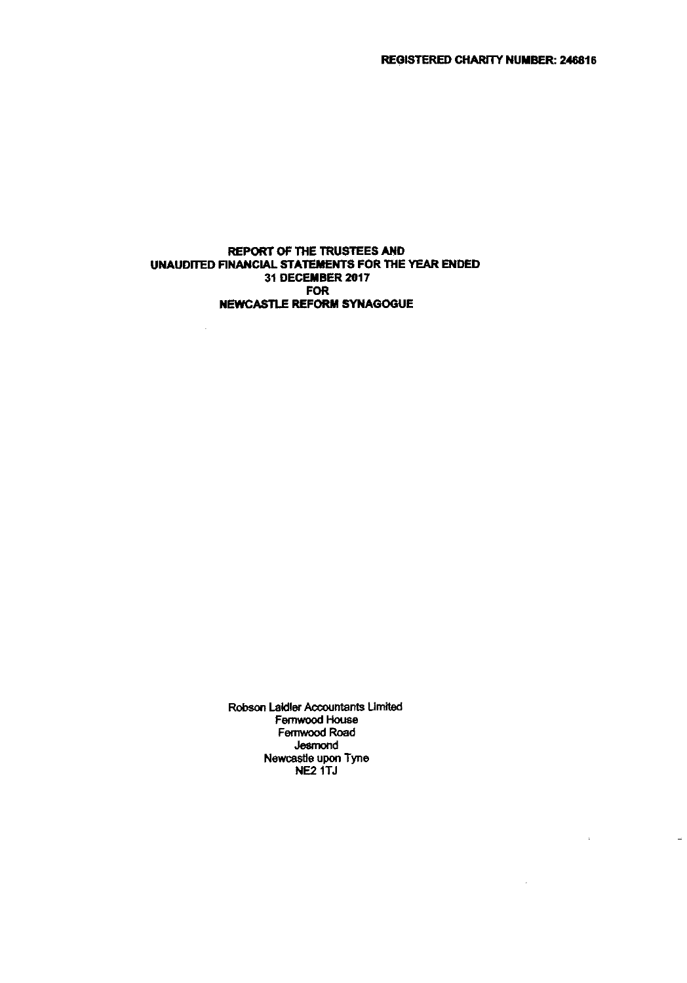$\overline{a}$ 

#### REPORT OF THE TRUSTEES AND UNAUDITED FINANCIAL STATEMENTS FOR THE YEAR ENDED 31 DECEMBER 2017 FOR NEWCASTLE REFORM SYNAGOGUE

 $\mathbf{r}$ 

Robson Laldler Accountants Umited Femwood House Femwood Road Jesmond Newcastle upon Tyne NE2 1TJ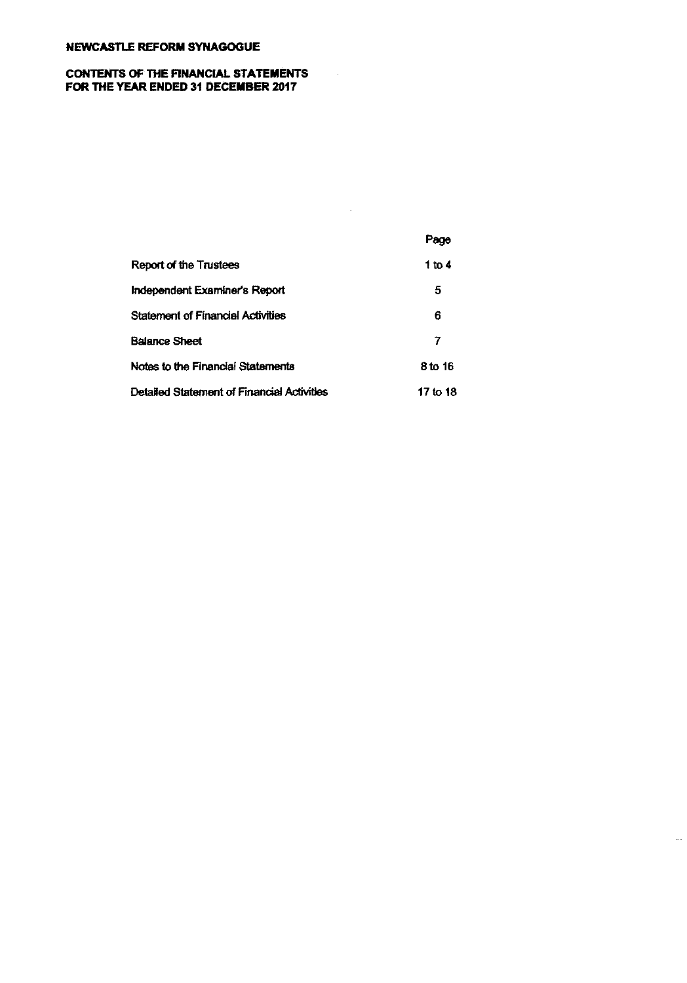#### CONTENTS OF THE FINANCIAL STATEMENTS FOR THE YEAR ENDED 31 DECEMBER 2017

|                                            | Page     |
|--------------------------------------------|----------|
| Report of the Trustees                     | 1 to 4   |
| Independent Examiner's Report              | 5        |
| <b>Statement of Financial Activities</b>   | 6        |
| <b>Balance Sheet</b>                       | 7        |
| Notes to the Financial Statements          | 8 to 16  |
| Detailed Statement of Financial Activities | 17 to 18 |

 $\sim 10$ 

 $\sim$ 

 $\ddotsc$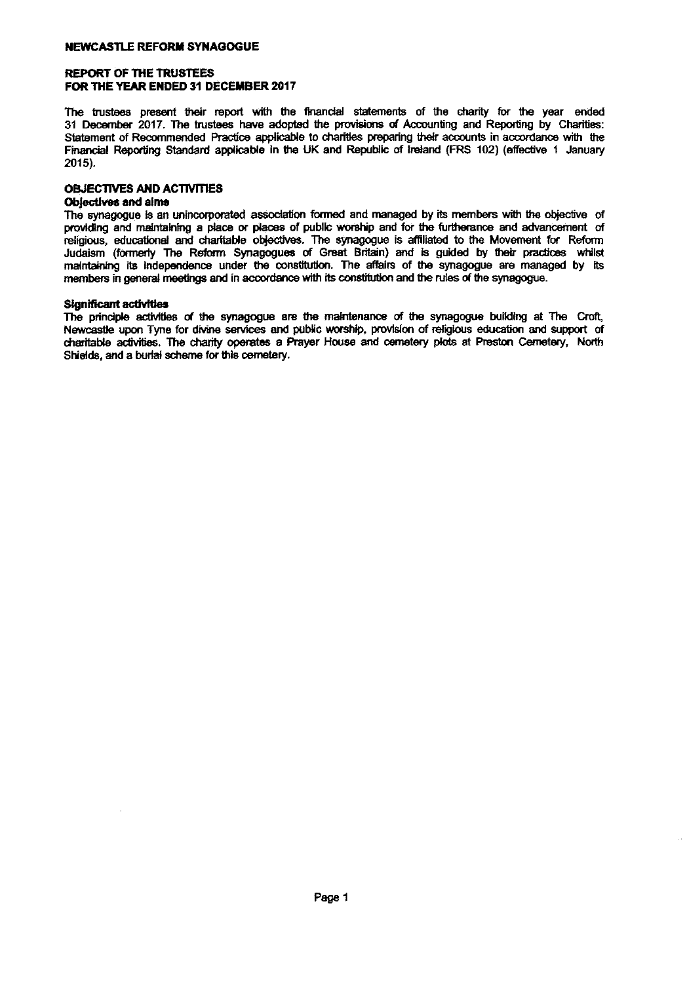#### REPORT OF THE TRUSTEES FOR THE YEAR ENDED 31 DECEMBER 2017

The trustees present their report with the financial statements of the charity for the year ended 31 December 2017. The trustees have adopted the provisions of Accounting and Reporting by Charities; Statement of Recommended Practice applicable to ncial sta<br>e provisi<br>charities<br>and Rep preparing their accounts in accordance with the Financial Reporting Standard applicable in the UK and Republic of Ireland Reporting By Charities<br>Statement of Recommended Practice applicable to charities preparing their accounts in accordance with the Financial Reporting 2015).

#### OBJECTIVES AND ACTIVTIES

### Objectives and aims

Objectives and aims<br>The synagogue is an unincorporated association formed and managed by its members with the objective of providing and maintaining a place or places of public worship and for the furtherance and advancement of religious, educational and charitable objectives. The synagogue is affiliated to the Movement for Reform OBJEC ITVES AND ACTIVITIES<br>Objectives and aims<br>The synagogue is an unincorporated association formed and managed by its members with the objective<br>providing and maintaining a place or places of public worship and for the f Judaism (formerly The Reform Synagogues of Great Britain) and is guided by their practices whilst malneyen its<br>Indintaining its Independence under the constitution. The affairs of the synagogue are managed by its members in genera a amoding<br>aining a part and ch<br>The Reformeetings and in accordance with its constitution and the rules of the synagogue

#### Significant activities

Significant activities<br>The principle activities of the synagogue are the maintenance of the synagogue building at The Croft,<br>Newcastle upon Tyne for divine services and public worship, provision of religious education and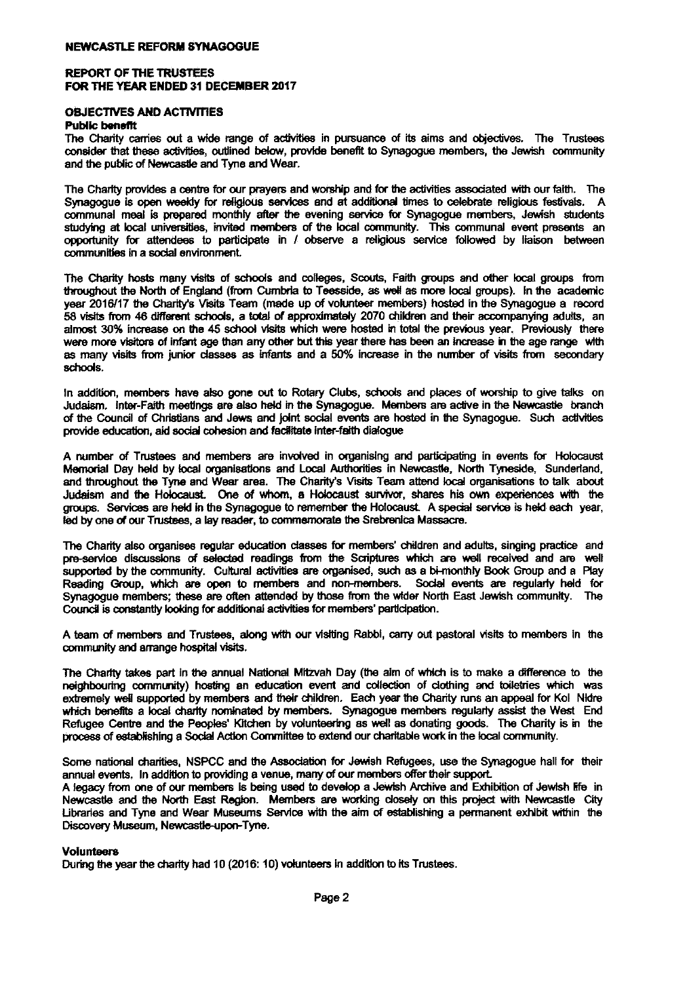#### REPORT OF THE TRUSTEES FOR THE YEAR ENDED 31 DECEMBER 2017

# OBJECTIVES AND ACTIVITIES

#### Public benefit

The Charity carries out a wide range of activities in pursuance of its aims and objectives. The Trustees consider that these activities, outlined below, provide benefit to Synagogue members, the Jewish community and the public of Newcastle and Tyne and Wear ND ACTIVIT<br>ies out a v<br>se activities<br>Newcastle<br>ides a cent

The Charity provides a centre for our prayers and worship and for the activities associated with our faith. The Synagogue is open weekly for religious services and at additional times to celebrate religious festivals. A suance or its aims and object<br>effit to Synagogue members, 1<br>and for the activities associated<br>ditional times to celebrate<br>service for Synagogue member communal meal is prepared monthly after the evening service for Synagogue members, Jewish students<br>studying at local universities, invited members of the local community. This communal event presents an wcastle are<br>s a centre<br>weekly fi<br>prepared<br>iversities, opportunity for attendees to participate in / observe a religious service followed by liaison between communities in a social environment.

communial means prepared monarity alter are evening serves for cynagogue manuses, sewish students<br>studying at local universities, invited members of the local community. This communal event presents an<br>exportunity for atte the North of England (from Cumbria to Teesside, as well as more local groups). In the academi year 2016/17 the Charity's Visits Team (made up of vohnteer members) hosted in the Synagogue a record 58 visits from 46 different schools, a total of approximately 2070 children and their accompanying adults, an almost 30% increase on the 45 school visits which were hosted in total the previous year. Previously there were more visitors of infant age than any other but this year there has been an increase in the age range with as many visits from junior dssses as infants snd a 50% increase in the number of visits from secondary schools.

In addition, members have also gone out to Rotary Clubs, schools and places of worship to give talks on Judaism. Inter-Faith meetings are also held in the Synagogue. Members are active in the Newcastle branci of the Council of Christians and Jews and joint social events are hosted in the Synagogue. Such activities provide education, aid social cohesion and facilitate inter-faith dialogue In addition, members have also gone out to Rotary Clubs, schools<br>Judaism. Inter-Faith meetings are also held in the Synagogue. Me<br>of the Council of Christians and Jews and joint social events are h<br>provide education, aid s

A number of Trustees and members are involved in organising and participating in events for Holocaust Memorial Day held by local organisations and Local Authorities in Newcastle, North Tyneside, Sunderland, olacs, some<br>nagogue.<br>I events an<br>n-faith dialo<br>Authorities<br>y's Visits Tr provide education, aid social cohesion and facilitate inter-faith dialogue<br>A number of Trustees and members are involved in organising and participating in events for Holocaus<br>Memorial Day held by local organisations and L Judaism and the Holocaust. One of whom, a Holocaust survivor, shares his own experiences with the groups. Services are held in the Synagogue to where the<br>wived in org<br>Local Autri<br>Charity's \<br>a Holocau:<br>remember the Holocaust. A special service is held each year led by one of our Trustees, a lay reader, to commemorate the Srebrenica Massacre.

The Charity also organises regular education classes for members' children and adults, singing practice and pre-service discussions of selected readings from the Scriptures which are well received and are wel supported by the community. Cultural activities are organised, such as a bi-monthly Book Group and a Play Reading Group, which are open to members and non-members. Sodal events are regularly held for Synagogue members; these are often attended by those from the wider North East Jewish community. The Council is constantly looking for additional activities for members' participation iy also orga<br>
by the cor<br>
Sroup, which<br>
e members<br>
constantly<br>
members

A team of members and Trustees, along with our visiting Rabbi, carry out pastoral visits to members in the community and arrange hospital visits.

The Charity takes part in the annual Nadonat Mitzvah Day (the aim of wtsch is to make a difference to the neighbouring community) hosting an education event and collection of clothing and toiletries which was extremely well supported by members and their children. Each year the Charity runs an appeal for Kol Nidre which benefits a local charity woo, wong<br>al visits.<br>annual Nat<br>ting an ed<br>nominated<br>hes' Kitcher<br>A Action Cor by members. Synagogue members regularly assist the West End Refugee Centre and the Peoples' Kitchen by volunteering as well as donating goods. The Charity is in the process of establishing a Social Action Committee to extend our charitable work in the local community.

Some national charities, NSPCC and the Association for Jewish Refugees, use the Synagogue hall for their annual events. In addition to providing a venue, many of our members offer their support.

A legacy from one of our members is being used to develop a Jewish Archive and Exhibition of Jewish Efe in Newcastle and the North East Region. Members are working closely on this project with Newcastle City Ubrarles and Tyne and Wear Museums Service with the aim of establishing a permanent exhibit within the Discovery Museum, Newcastle-upon-Tyne.

#### Volunteers

During the year the charity had 10 (2016: 10) volunteers in addition to its Trustees.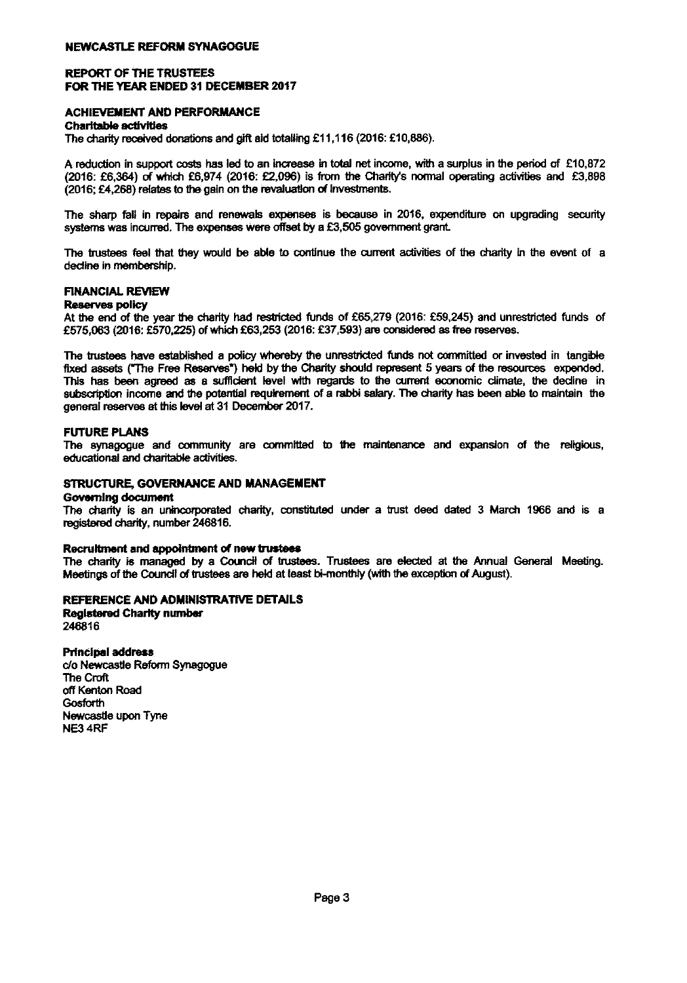#### REPORT OF THE TRUSTEES FOR THE YEAR ENDED 31 DECEMBER 2017

# ACHIEVEMENT AND PERFORMANCE **EAR EN<br>ENT AN:<br>activities<br>received<br>.**

#### Charitable activities

The charity donations and gift aid totalling £11,116 (2016: £10,886).

A reduction in support costs has led to an increase in total net income, with a surplus in the period of £10,872 (2016: £6,364) of which £6,974 (2016: £2,096) is from the Charity's normal operating activities and £3,898  $(2016; \text{\textsterling}4, 268)$  relates to the gain on the revaluation of investments.

The sharp fall in repairs and renewals expenses is because in 2016, expenditure on upgrading security systems was incurred. The expenses were offset by a £3,505 government grant.

The trustees feel that they would be able to continue the current activities of the charity in the event of a decline in membership. The trustees feel that they would be able to continue the current activities of the charity in the event of a<br>decline in membership.<br>**FINANCIAL REVIEW**<br>At the end of the year the charity had restricted funds of £65,279 (20

#### **Reserves policy**

£575,063 (2016: £570,225) of which £63,253 (2016: £37,593) are considered as free reserves.

 $E$ 575,063 (2016: £570,225) of which £63,253 (2016: £37,593) are considered<br>The trustees have established a policy whereby the unrestricted funds not<br>fixed assets ("The Free Reserves") held by the Charity should represent **REVIEW**<br>
Ilicy<br>
f the year the charity had restricted funds of £65,279 (2016: £59,245) and unrestricted funds<br>
16: £570,225) of which £63,253 (2016: £37,593) are considered as free reserves.<br>
have established a policy whe fixed assets ("The Free Reserves") held by the Charity should represent 5 years of the resources expended. This has been agreed as a sufficient level with regards to the current economic climate, the decline in<br>subscription income and the potential requirement of a rabbi salary. The charity has been able to maintain the<br>managed general reserves at this kwel at 31 December 2017.

#### FUTURE PLANS

The synagogue and community are committed to the maintenance and expansion of the religious, educational and charitable activities.

#### STRUCTURE, GOVERNANCE AND MANAGEMENT

#### Governing document

The charity is an unincorporated charity, constituted under a trust deed dated 3 March 1966 and is a registered charity, number 246816. rporated charity, constituted under<br>246816.<br>**ment of new trustees**<br>by a Council of trustees. Trustees<br>trustees are held at least bi-monthly<br>NISTRATIVE DETAILS

#### Recruitment and appointment of new trustees

The charity is managed by a Council of trustees. Trustees are elected at the Annual General Meeting Meetings of the Council of trustees are held at least bi-monthly (with the exception of August)

#### REFERENCE AND ADMINISTRATIVE DETAILS

Registered Charfty number 248816

Principal address c/o Newcastle Reform Synagogue **The Croft** off Kenton Road **Gosforth** Newcastle upon Tyne NE3 4RF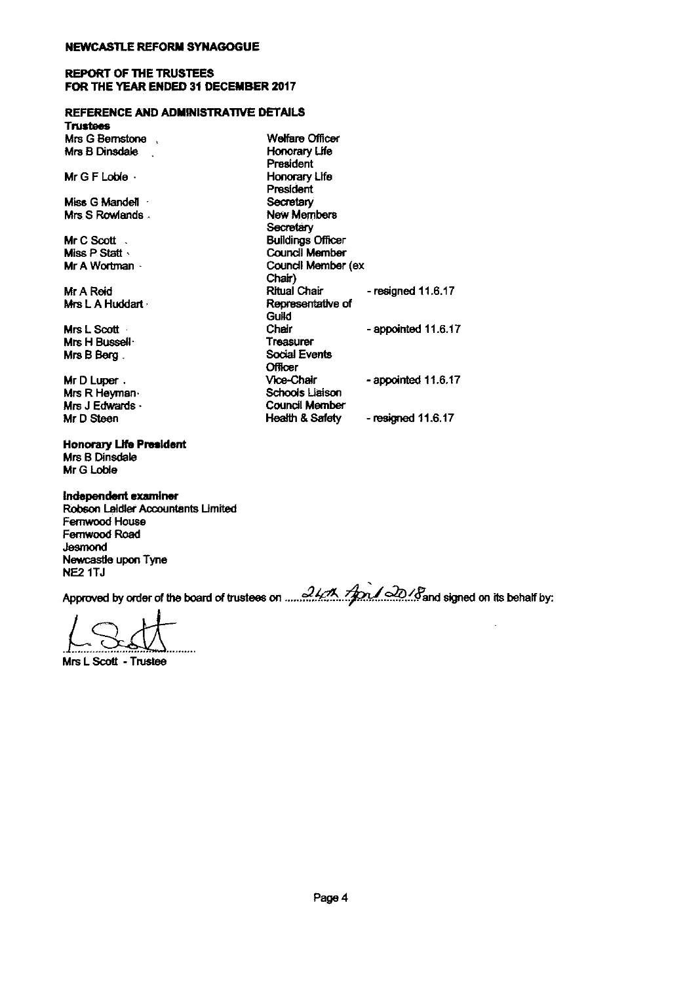#### REPORT OF THE TRUSTEES FOR THE YEAR ENDED 31 DECEMBER 2017

### REFERENCE AND ADMINISTRATIVE DETAILS

| FOR THE YEAR ENDED 31 DECEMBER 2017  |                          |                       |  |
|--------------------------------------|--------------------------|-----------------------|--|
| REFERENCE AND ADMINISTRATIVE DETAILS |                          |                       |  |
| Trustees                             |                          |                       |  |
| Mrs G Bernstone,                     | <b>Welfare Officer</b>   |                       |  |
| Mrs B Dinsdale                       | Honorary Life            |                       |  |
|                                      | President                |                       |  |
| Mr G F Lobie $\cdot$                 | Honorary Life            |                       |  |
|                                      | President                |                       |  |
| Miss G Mandell                       | Secretary                |                       |  |
| Mrs S Rowlands.                      | New Members              |                       |  |
|                                      | Secretary                |                       |  |
| Mr C Scott $\therefore$              | <b>Buildings Officer</b> |                       |  |
| Miss P Statt                         | Council Member           |                       |  |
| Mr A Wortman -                       | Council Member (ex       |                       |  |
|                                      | Chair)                   |                       |  |
| Mr A Reid                            | <b>Ritual Chair</b>      | - resigned $11.6.17$  |  |
| Mrs L. A. Huddart                    | Representative of        |                       |  |
|                                      | Guild                    |                       |  |
| Mrs L Scott                          | Chair                    | - appointed 11.6.17   |  |
| Mrs H Bussell <sup>.</sup>           | Treasurer                |                       |  |
| Mrs B Berg .                         | Social Events            |                       |  |
|                                      | <b>Officer</b>           |                       |  |
| Mr D Luper.                          | Vice-Chair               | - appointed $11.6.17$ |  |
| Mrs R Heyman⊹                        | <b>Schools Liaison</b>   |                       |  |
| Mrs J Edwards $\cdot$                | Council Member           |                       |  |
| Mr D Steen                           | Health & Safety          | - resigned $11.6.17$  |  |

Mrs B Dinsdale Mr G Loble

Honorary Ufe President

Independent examiner Robson Laidler Accountants Limited Femwood House Femwood Road Newcastle upon Tyne<br>NE2 1TJ

NE2 1TJ ~ by order of the board of trustees on .....A~..~..k2..&Fend rdgned on its behalf by.

Mrs <sup>L</sup> Scott - Trustee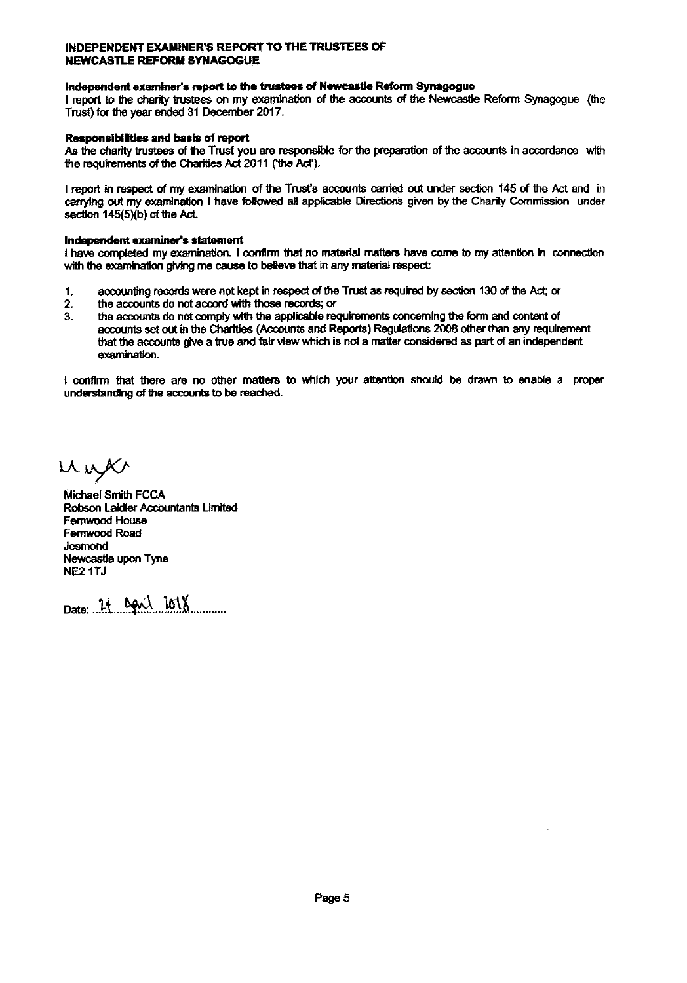# INDEPENDENT EXANNER'8 REPORT TO THE TRUSTEES OF NEWCASTLE REFORM SYNAGOGUE "S REPORT"<br>port to the<br>ss on my e<br>December<br>of report

# NEWCASTLE REPORM STRAGOGOE<br>Independent examiner's report to the trustees of Newcastle Reform Synagogu<br>I moot to the charity trustees on my examination of the accounts of the Newcas

I report to the charity trustees on my examination of the accounts of the nagogue<br>Newcastle ate Reform Synagogue (the<br>accounts in accordance with Trust) for the year ended 31 2017.

#### Responsibilities and basis of report

As the charity trustees of the Trust you are responsible for the preparation of the accounts in accordance with the requirements of the Charities Act 2011 ('the Act').

<sup>I</sup> report in respect of my examination of the Trust's accounts canted out under section 145 of the Act and in carrying out my examination I have followed all applicable Directions given by the Charity Commission unde the prepar:<br>hts carried<br>Directions section 145(5)(b) of the Act.

#### Independent examiner's statement

I have completed my examination. I confirm that no material matters have come to my attention in connection with the examination giving me cause to believe that in any al matte<br>material respect endent exame<br>completed<br>a examination<br>the accounting<br>the account

- 1. records were not kept in respect of the Trust as required by section 130 of the Act; or
- 2. the accounts do not accord with those records; or
- 3. the accounts do not comply with the applicsbls requirements concerning the form and content of accounts set out in the Charlies (Accounts and Reports) Regulations 2008 other than any requireme<br>that the accounts give a true and falr view which is not a matter considered as part of an independent<br>examination. that the accounts give a true and fair view which is not a matter considered as part of an independent speca.<br>ired by sect<br>ncerning the<br>stions 2008<br>considered

I confirm that there are no other matters to which your attention should be drawn to enable a proper understanding of the accounts to be reached.

unger

Michael Smith FCCA Robson Laidler Accountants Limited<br>Fernwood House<br>Fernwood Road<br>Jesmond Newcastle upon Tyne NE2 1TJ

Date: 21 April 2018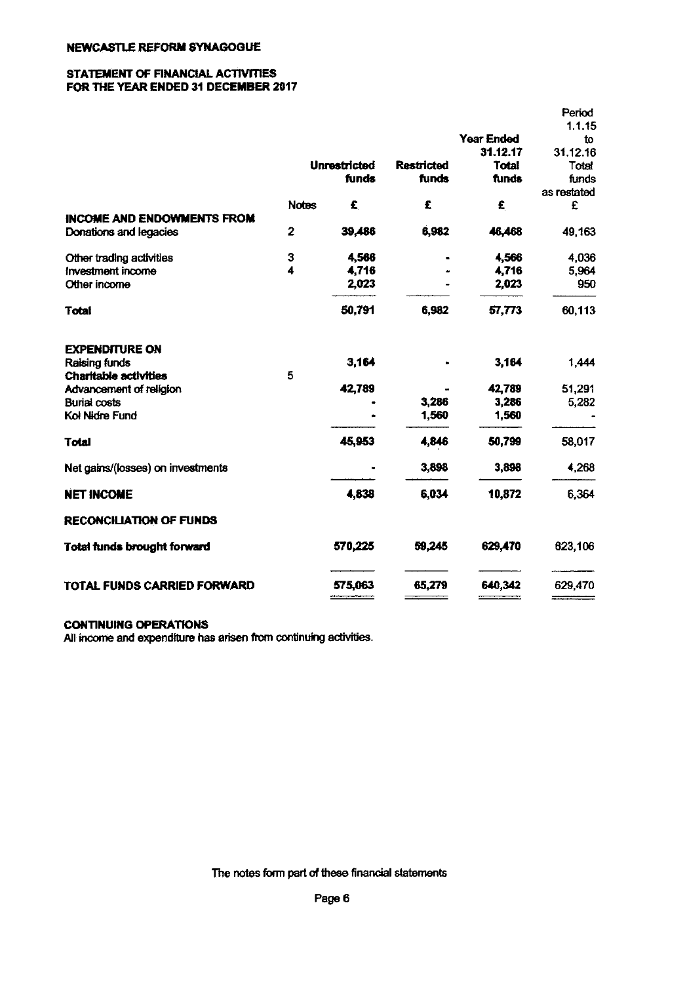#### STATEMENT OF FINANCIAL ACTIVITIES FOR THE YEAR ENDED 31 DECEMBER 2017

|                                   |              |                     |                   |                   | Period       |
|-----------------------------------|--------------|---------------------|-------------------|-------------------|--------------|
|                                   |              |                     |                   | <b>Year Ended</b> | 1.1.15<br>to |
|                                   |              |                     |                   | 31.12.17          | 31.12.16     |
|                                   |              | <b>Unrestricted</b> | <b>Restricted</b> | <b>Total</b>      | Total        |
|                                   |              | funds               | funds             | funds             | funds        |
|                                   |              |                     |                   |                   | as restated  |
|                                   | <b>Notes</b> | £                   | £                 | £                 | £            |
| <b>INCOME AND ENDOWMENTS FROM</b> |              |                     |                   |                   |              |
| Donations and legacies            | 2            | 39,486              | 6,982             | 46,468            | 49,163       |
| Other trading activities          | 3            | 4,566               |                   | 4,566             | 4,036        |
| Investment income                 | 4            | 4,716               |                   | 4,716             | 5,964        |
| Other income                      |              | 2,023               |                   | 2,023             | 950          |
| <b>Total</b>                      |              | 50,791              | 6,982             | 57,773            | 60,113       |
| <b>EXPENDITURE ON</b>             |              |                     |                   |                   |              |
| <b>Raising funds</b>              |              | 3,164               |                   | 3,164             | 1,444        |
| Charitable activities             | 5            |                     |                   |                   |              |
| Advancement of religion           |              | 42,789              |                   | 42,789            | 51,291       |
| <b>Burial costs</b>               |              |                     | 3,286             | 3,286             | 5,282        |
| Kol Nidre Fund                    |              |                     | 1,560             | 1,560             |              |
| Total                             |              | 45,953              | 4,846             | 50,799            | 58,017       |
| Net gains/(losses) on investments |              |                     | 3,898             | 3,898             | 4,268        |
| <b>NET INCOME</b>                 |              | 4,838               | 6,034             | 10,872            | 6,364        |
| <b>RECONCILIATION OF FUNDS</b>    |              |                     |                   |                   |              |
| Total funds brought forward       |              | 570,225             | 59,245            | 629,470           | 623,106      |
| TOTAL FUNDS CARRIED FORWARD       |              | 575,063             | 65,279            | 640,342           | 629,470      |

### CONTINUING OPERATIONS

All income and expenditure has arisen from continuing activities.

The notes form part of these financial statements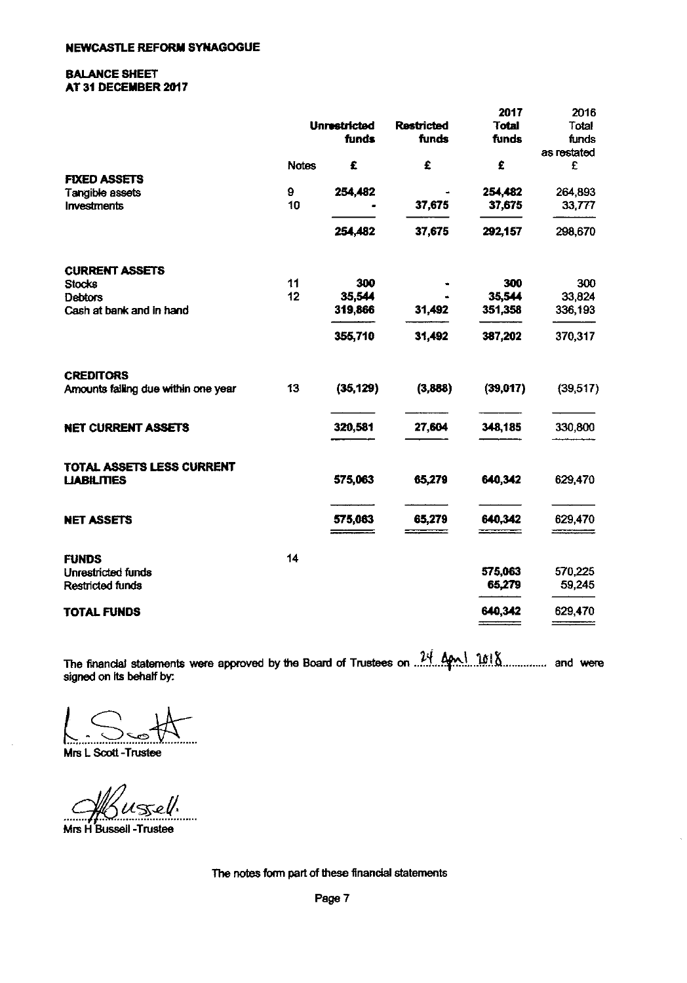#### BALANCE SHEET AT 31 DECEMBER 2017

|                                     |              |                     |                   | 2017         | 2016        |
|-------------------------------------|--------------|---------------------|-------------------|--------------|-------------|
|                                     |              | <b>Unrestricted</b> | <b>Restricted</b> | <b>Total</b> | Total       |
|                                     |              | funds               | funds             | funds        | funds       |
|                                     |              |                     |                   |              | as restated |
|                                     | <b>Notes</b> | £                   | £                 | £            | £           |
| <b>FIXED ASSETS</b>                 |              |                     |                   |              |             |
| Tangible assets                     | 9            | 254,482             |                   | 254,482      | 264,893     |
| <b>Investments</b>                  | 10           |                     | 37,675            | 37,675       | 33,777      |
|                                     |              | 254,482             | 37,675            | 292,157      | 298,670     |
| <b>CURRENT ASSETS</b>               |              |                     |                   |              |             |
| <b>Stocks</b>                       | 11           | 300                 |                   | 300          | 300         |
| <b>Debtors</b>                      | 12           | 35,544              |                   | 35,544       | 33,824      |
| Cash at bank and in hand            |              | 319,866             | 31,492            | 351,358      | 336,193     |
|                                     |              | 355,710             | 31,492            | 387,202      | 370,317     |
| <b>CREDITORS</b>                    |              |                     |                   |              |             |
| Amounts failing due within one year | 13           | (35, 129)           | (3,888)           | (39,017)     | (39, 517)   |
| <b>NET CURRENT ASSETS</b>           |              | 320,581             | 27,604            | 348,185      | 330,800     |
| TOTAL ASSETS LESS CURRENT           |              |                     |                   |              |             |
| <b>LIABILITIES</b>                  |              | 575,063             | 65,279            | 640,342      | 629,470     |
| <b>NET ASSETS</b>                   |              | 575,063             | 65,279            | 640,342      | 629,470     |
| <b>FUNDS</b>                        | 14           |                     |                   |              |             |
| Unrestricted funds                  |              |                     |                   | 575,063      | 570,225     |
| Restricted funds                    |              |                     |                   | 65,279       | 59,245      |
| TOTAL FUNDS                         |              |                     |                   | 640,342      | 629,470     |

The finandal statements were approved by the Board of Trustees on  $\frac{24}{1000}$  ....................... and were signed on its behalf by:

Mrs L Scott -Trustee

 $45e/$ 

Mrs H Bussell -Trustee

The notes form part of these financial statements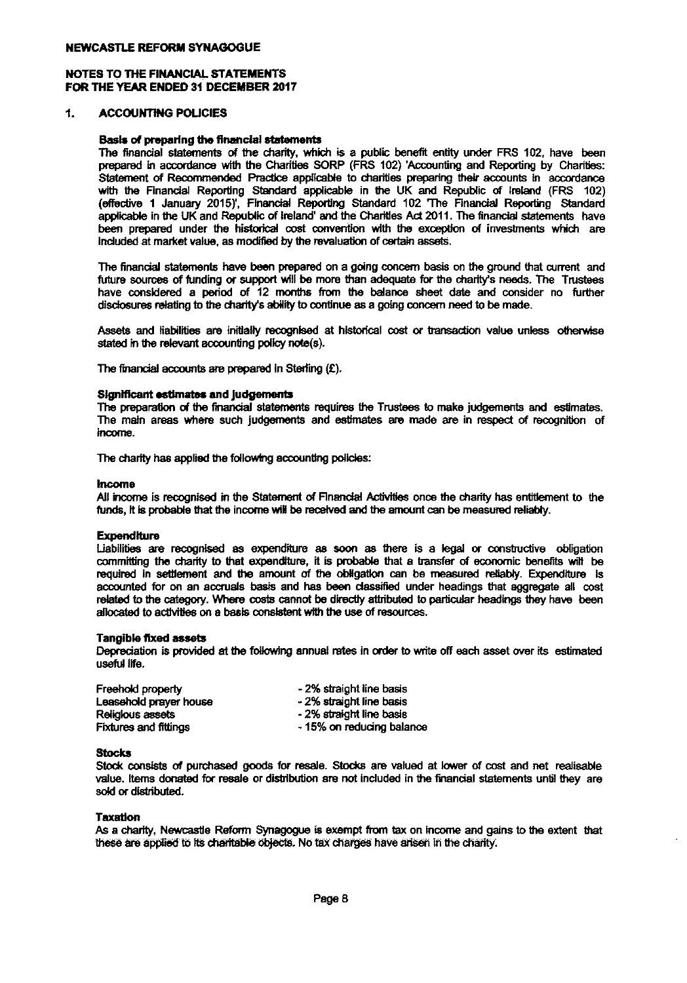#### NOTES TO THE FINANCIAL STATEMENTS FOR THE YEAR ENDED 31 DECEMBER 2017

#### $\ddagger$ . ACCOUNTING POUCIES

#### Basis of preparing the financial statements

The financial statements of the charity, which is a public benefit entity under FRS 102, have been HE YEAR ENDED 31 DECEMBER 2017<br>ACCOUNTING POLICIES<br>Basis of preparing the financial statements<br>The financial statements of the charities SORP (FRS 102) 'Accounting and Reporting by Charities<br>Statement of Recommended Practi Statement of Recommended Practice applicable to charities preparing their accounts in accordance ACCOUNTING POLICIES<br>
Basis of preparing the financial statements<br>
The financial statements of the charity, which is a public benefit entity under FRS 102, have been<br>
prepared in accordance with the Charities SORP (FRS 102) (effedive 1 January 2015)', An external<br>the Charity<br>Practice<br>Standard<br>Financial<br>blic of Ire Reporting Standard 102 'The Financial Reporting Standar applicable in the UK and Republic of Ireland' and the Charitles Act 2011. The financi 102, have<br>sing by Chas<br>in accord<br>land (FRS<br>porting Sta<br>statements<br>nents which have been prepared under the historical cost convention with the exception of investments which are induded at market value, as modified by the revaluation of certain assets. nicial Repo<br>January 20<br>January 20<br>anket value,<br>statements<br>s of funding<br>aned a next

The financial statements have been prepared on a going concern basis on the ground that current and future sources of funding or support will be more than adequate for the charity's needs. The Trustees have considered a pe future sources of funding or support will be more than adequate for the charity's needs. The Trustee have considered a period of 12 months from the balance sheet date and consider no further disclosures relating to the charity's ability to continue as a going concern need to be made. rrent and<br>Trustees<br>o further<br>otherwise

Assets and liabilities are initially recognised at historical cost or transaction value unles

The financial accounts are prepared in Sterling  $(E)$ .

#### Significant estimates and judgements

Assets and habilities are thuatry recognised<br>stated in the relevant accounting policy note(s)<br>The financial accounts are prepared in Sterling<br>Significant estimates and judgements<br>The preparation of the financial statements The preparation of the financial statements requires the Trustees to make judgements and estimates The maincal accounts are prepared in Sushing  $(x)$ .<br>Significant estimates and judgements<br>The preparation of the financial statements requires the Trustees to make judgements and estimates.<br>The main areas where such judgeme income.

The charity has applied the following accounting policies:

#### Income

The enamy nas applied the following accounting poissed:<br>All income<br>funds. It is probable that the income will be received and the amount can be measured reliably. which the charity has applied the following accounting policies:<br>The charity has applied the following accounting policies:<br>All income is recognised in the Statement of Financial Activities once the<br>funds, it is probable t .<br>.<br>measured<br>. reliably.

#### **Expenditure**

Liabilities are recognised as expenditure as soon as there is a legal or constructive obligation<br>committing the charity to that expenditure, it is probable that a transfer of economic benefits will be<br>moutined in eetHement required in settlement and the amount of the obligation can be measured reliably. Expenditure is Following that the income will be received and the amount can be mea-<br>a<br>pre-recognised as expenditure as soon as there is a legal or<br>the charity to that expenditure, it is probable that a transfer of exet<br>thement and the a accounted for on an accruals basis and has been classified under headings that aggregate all cost related to the category. Where costs cannot be directly attributed to particular headings they have been allocated to activities on a basis consistent with the use of resources expenditure<br>xpenditure<br>amount coasis and<br>costs canno<br>consistent

#### Tangible fixed assets

Depreciation is provided at the following annual rates in order to write off each asset over its estimate costs can<br>-consister<br>-<br>following<br>useful fife.

| Freehold property            | - 2% straight line basis  |
|------------------------------|---------------------------|
| Leasehold prayer house       | - 2% straight line basis  |
| Religious assets             | - 2% straight line basis  |
| <b>Fixtures and fittings</b> | - 15% on reducing balance |

#### **Stocks**

Stock consists of purchased goods for resale. Stocks are valued at lower of cost and net realisable value. Items donated for resale or distribution are not included in the financial statements until they are sold or distributed.

#### **Taxation**

As a charity, Newcastle Reform Synagogue is exempt from tax on income and gains to the extent that these are applied to its charitable objects. No tax charges have arisen in the charity.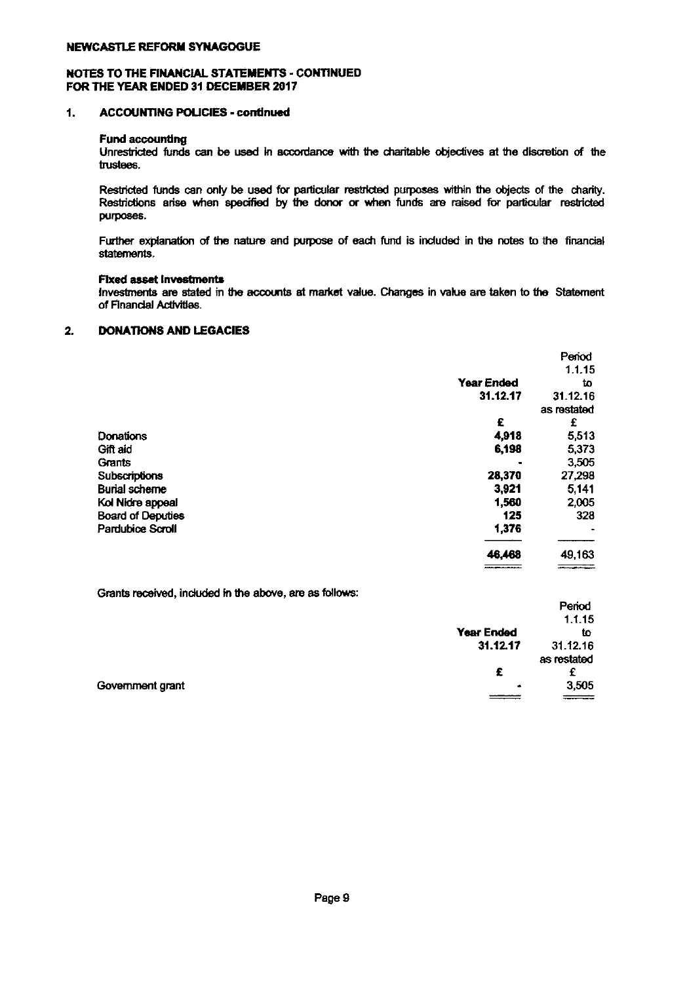#### NOTES TO THE FINANCIAL STATEMENTS - CONTINUED FOR THE YEAR ENDED 31 DECEMBER 2617

#### 1. ACCOUNTING POLICIES - continued

#### Fund accounting

Un stricted funds can be used in accordance with the ~<br>charitable objectives at the discretion of the trustees.

Restricted funds can only be used for particular restricted purposes within the objects of the charity. Restrictions arise when e used in<br>, be used<br>specified by the donor or when funds are raised for particular restricted purposes.

Further explanation of the nature and purpose of each fund is included in the notes to the financial statements.

#### Fixed asset Invesbnents

Investments are stated in the accounts at market value. Changes in value are taken to the Statement of Financial Activities.

#### **DONATIONS AND LEGACIES** 2.

|                          |                   | Period      |
|--------------------------|-------------------|-------------|
|                          |                   | 1.1.15      |
|                          | <b>Year Ended</b> | to          |
|                          | 31.12.17          | 31.12.16    |
|                          |                   | as restated |
|                          | £                 | £           |
| Donations                | 4,918             | 5,513       |
| Gift aid                 | 6,198             | 5,373       |
| Grants                   |                   | 3,505       |
| Subscriptions            | 28,370            | 27,298      |
| <b>Burial scheme</b>     | 3,921             | 5,141       |
| Kol Nidre appeal         | 1,560             | 2,005       |
| <b>Board of Deputies</b> | 125               | 328         |
| <b>Pardubice Scroll</b>  | 1,376             |             |
|                          | 46,468            | 49,163      |
|                          |                   |             |

Grants received, included in the above, are as follows:

|                  |                   | .           |
|------------------|-------------------|-------------|
|                  |                   | 1.1.15      |
|                  | <b>Year Ended</b> | tο          |
|                  | 31.12.17          | 31.12.16    |
|                  |                   | as restated |
|                  | £                 |             |
| Government grant | ٠                 | 3,505       |
|                  |                   | $\equiv$    |
|                  |                   |             |

Period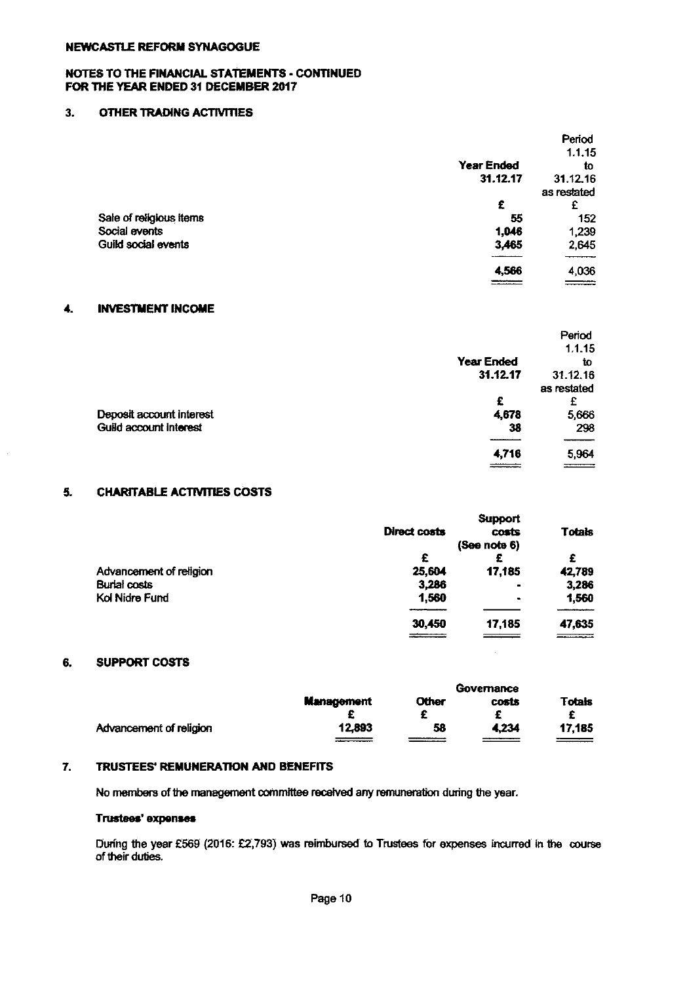#### NOTES TO THE RNANCIAL STATEMENTS - CONTINUED FOR THE YEAR ENDED 31 DECEMBER 2017

#### 3. OTHER TRADING ACTIVITIES

|                         |                               | Period      |
|-------------------------|-------------------------------|-------------|
|                         |                               | 1.1.15      |
|                         | <b>Year Ended</b>             | to          |
|                         | 31.12.17                      | 31.12.16    |
|                         |                               | as restated |
|                         | £                             | £           |
| Sale of religious items | 55                            | 152         |
| Social events           | 1,046                         | 1,239       |
| Guild social events     | 3,465                         | 2,645       |
|                         | 4,566                         | 4,036       |
|                         | <b><i><u>Property</u></i></b> | $=$         |

#### 4. INVESTMENT INCOME

|                          |                   | Period      |
|--------------------------|-------------------|-------------|
|                          |                   | 1.1.15      |
|                          | <b>Year Ended</b> | İΟ          |
|                          | 31.12.17          | 31.12.16    |
|                          |                   | as restated |
|                          | £                 |             |
| Deposit account interest | 4,678             | 5,666       |
| Guild account interest   | 38                | 298         |
|                          | 4,716             | 5,964       |
|                          |                   |             |

## 5. CHARITABLE ACTIVITIES COSTS

|                         |              | <b>Support</b> |               |
|-------------------------|--------------|----------------|---------------|
|                         | Direct costs | costs          | <b>Totals</b> |
|                         |              | (See note 6)   |               |
|                         | £            | £              | £             |
| Advancement of religion | 25,604       | 17,185         | 42,789        |
| <b>Burial costs</b>     | 3,286        | ۰              | 3,286         |
| Kol Nidre Fund          | 1,560        | ۰              | 1,560         |
|                         | 30,450       | 17.185         | 47,635        |
|                         |              |                |               |

#### 6. SUPPORT COSTS

|                         | Governance        |              |       |               |
|-------------------------|-------------------|--------------|-------|---------------|
|                         | <b>Management</b> | <b>Other</b> | costs | <b>Totais</b> |
| Advancement of religion | 12.893            | 58           | 4.234 | 17,185        |

#### 7. TRUSTEES' REMUNERATION AND BENEFITS

No members of the management committee received any remuneration during the year.

#### Trustees' expenses

During the year £569 (2016: £2,793) was reimbursed to Trustees for expenses incurred in the course of their duties.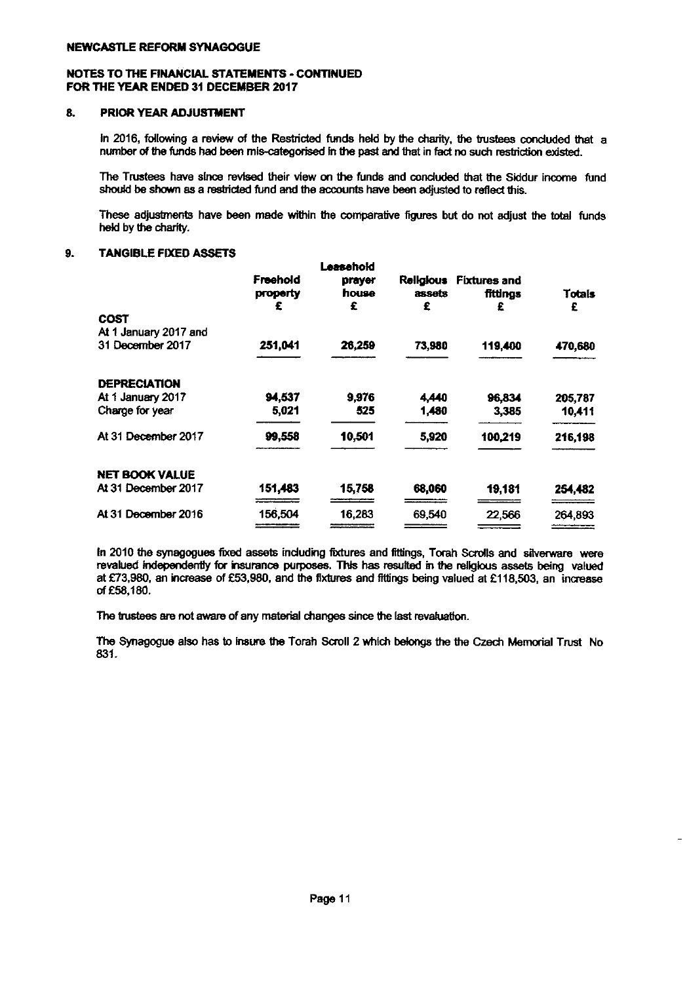#### NOTES TO THE FINANCIAL STATEMENTS - CONTINUED FOR THE YEAR ENDED 31 DECEMBER 2017

#### 8. PRIOR YEAR ADJUSTMENT

In 2016, following a review of the Restricted funds heki by the charity, the trustees conduded that a number of the funds had been mis-categorised in the past and that in fact no such restriction existed tees cond<br>restriction<br>e Siddur i

The Trustees have since revised their view on the funds and conduded that the Bddur income fund should be shown as a restricted fund and the accounts have been adjusted to reflect this.

These adjustments have been made within the comparative figures but do not adjust the total funds held by the charity.

#### 9. TANGIBLE FIXED ASSETS

|                       | Freehold<br>property | Leasehold<br>prayer<br>house<br>£ | <b>Religious</b><br>assets<br>£ | <b>Fixtures and</b><br>fittinas<br>£ | <b>Totals</b><br>£ |
|-----------------------|----------------------|-----------------------------------|---------------------------------|--------------------------------------|--------------------|
| COST                  |                      |                                   |                                 |                                      |                    |
| At 1 January 2017 and |                      |                                   |                                 |                                      |                    |
| 31 December 2017      | 251,041              | 26,259                            | 73,980                          | 119,400                              | 470,680            |
| <b>DEPRECIATION</b>   |                      |                                   |                                 |                                      |                    |
| At 1 January 2017     | 94,537               | 9,976                             | 4,440                           | 96,834                               | 205,787            |
| Charge for year       | 5,021                | 525                               | 1,480                           | 3.385                                | 10,411             |
| At 31 December 2017   | 99,558               | 10,501                            | 5,920                           | 100,219                              | 216,198            |
| <b>NET BOOK VALUE</b> |                      |                                   |                                 |                                      |                    |
| At 31 December 2017   | 151,483              | 15,758                            | 68,060                          | 19,181                               | 254,482            |
| At 31 December 2016   | 156.504              | 16,283                            | 69,540                          | 22,566                               | 264,893            |
|                       |                      |                                   |                                 |                                      |                    |

In 2010 the synagogues fixed assets including fixtures and fittings, Torah Scrolls and silverware were revalued independently for insurance purposes. This has resulted in the religious assets being valued at £73,980, an increase of £53,980, and the fixtures and fittings being valued at £118,503, an increase of 658,180.

The trustees are not aware of any material changes since the last revaluation.

The Synagogue also has to insure the Torah Scroll 2 which belongs the the Czech Memorial Trust No 831.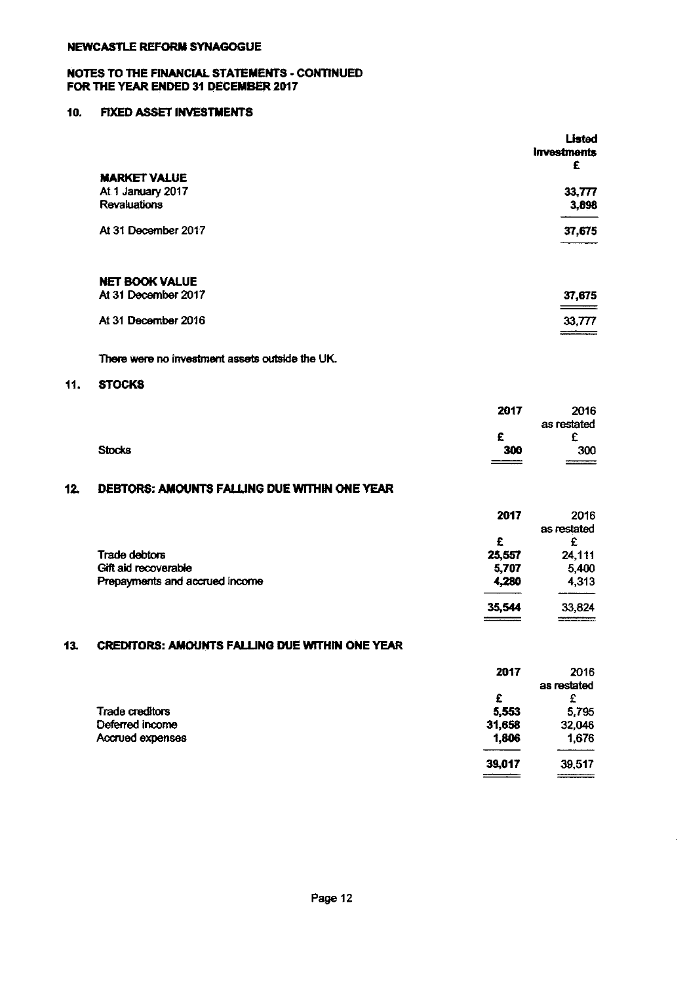#### NOTES TO THE FINANCIAL STATEMENTS - CONTINUED FOR THE YEAR ENDED 31 DECEMBER 2017

#### 10. FIXED ASSET INVESTMENTS

|                       | Listed<br><b>Investments</b><br>£ |
|-----------------------|-----------------------------------|
| <b>MARKET VALUE</b>   |                                   |
| At 1 January 2017     | 33,777                            |
| <b>Revaluations</b>   | 3,898                             |
| At 31 December 2017   | 37,675                            |
| <b>NET BOOK VALUE</b> |                                   |
| At 31 December 2017   | 37,675<br>$\hspace{1.5cm} =$      |
| At 31 December 2016   | 33,777                            |

There were no investment assets outside the UK

#### 11. STOCKS

|               | 2017   | 2016        |
|---------------|--------|-------------|
|               |        | as restated |
|               | c<br>- | ◠           |
| <b>Stocks</b> | 300    | 300         |
|               | ===    | ---------   |

# 12. DEBTORS: AMOUNTS FALLNG DUE WITHIN ONE YEAR

|                                | 2017   | 2016        |
|--------------------------------|--------|-------------|
|                                |        | as restated |
|                                | £      |             |
| Trade debtors                  | 25,557 | 24,111      |
| Gift aid recoverable           | 5,707  | 5,400       |
| Prepayments and accrued income | 4,280  | 4,313       |
|                                | 35,544 | 33,824      |

### 13. CREDITORS: AMOUNTS FALLING DUE WITHIN ONE YEAR

|                        | 2017   | 2016        |
|------------------------|--------|-------------|
|                        |        | as restated |
|                        | £      | £           |
| <b>Trade creditors</b> | 5,553  | 5,795       |
| Deferred income        | 31,658 | 32,046      |
| Accrued expenses       | 1,806  | 1,676       |
|                        | 39,017 | 39,517      |
|                        |        |             |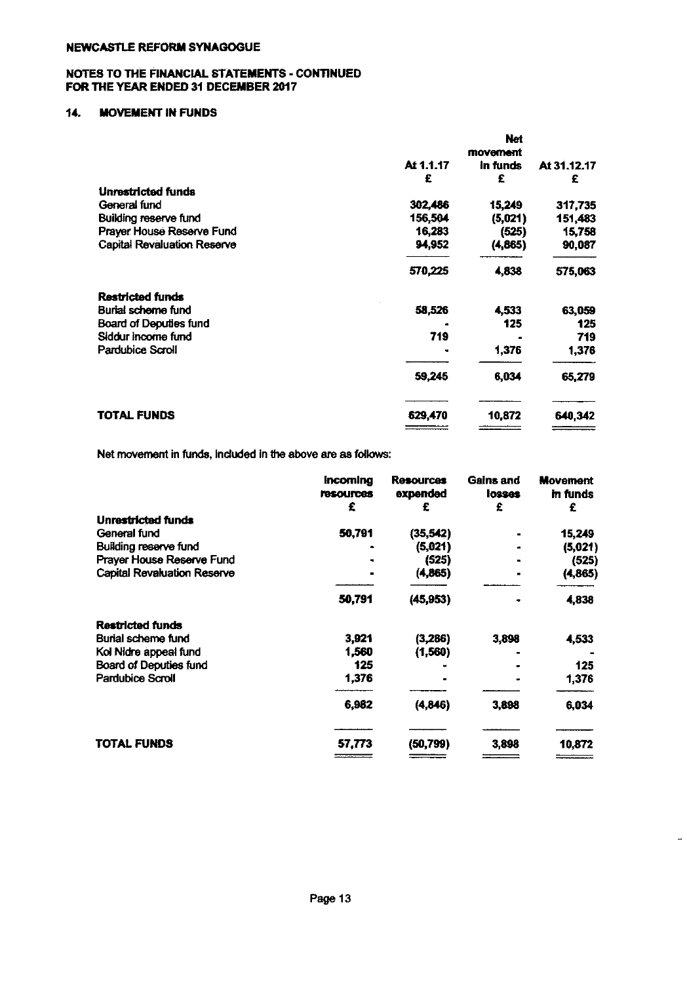#### NOTES TO THE FINANCIAL STATEMENTS - CONTINUED FOR THE YEAR ENDED 31 DECEMBER 2017

#### 14. MOVEMENT IN FUNDS

|           | Net      |                  |
|-----------|----------|------------------|
|           | movement |                  |
| At 1.1.17 | in funds | At 31.12.17      |
| £         | £        | £                |
|           |          |                  |
| 302,486   | 15,249   | 317,735          |
| 156,504   |          | 151,483          |
| 16,283    |          | 15,758           |
| 94,952    | (4,865)  | 90,087           |
| 570,225   | 4,838    | 575,063          |
|           |          |                  |
| 58,526    | 4,533    | 63,059           |
|           | 125      | 125              |
| 719       |          | 719              |
|           | 1,376    | 1,376            |
| 59,245    | 6,034    | 65,279           |
| 629,470   | 10,872   | 640,342          |
|           |          | (5,021)<br>(525) |

Net movement in funds, included in the above are as follows:

|                                    | incoming<br><b>resources</b><br>£ | <b>Resources</b><br>expended<br>£ | Gains and<br>losses<br>£ | <b>Movement</b><br>in funds<br>£ |
|------------------------------------|-----------------------------------|-----------------------------------|--------------------------|----------------------------------|
| Unrestricted funds                 |                                   |                                   |                          |                                  |
| General fund                       | 50,791                            | (35, 542)                         |                          | 15,249                           |
| Building reserve fund              |                                   | (5,021)                           |                          | (5,021)                          |
| Prayer House Reserve Fund          |                                   | (525)                             |                          | (525)                            |
| <b>Capital Revaluation Reserve</b> |                                   | (4,865)                           |                          | (4, 865)                         |
|                                    | 50,791                            | (45, 953)                         |                          | 4,838                            |
| Restricted funds                   |                                   |                                   |                          |                                  |
| Burial scheme fund                 | 3,921                             | (3,286)                           | 3,898                    | 4,533                            |
| Kol Nidre appeal fund              | 1,560                             | (1,560)                           |                          |                                  |
| Board of Deputies fund             | 125                               |                                   |                          | 125                              |
| Pardubice Scroll                   | 1,376                             |                                   |                          | 1,376                            |
|                                    | 6.982                             | (4,846)                           | 3,898                    | 6,034                            |
| TOTAL FUNDS                        | 57,773                            | (50, 799)                         | 3,898                    | 10,872                           |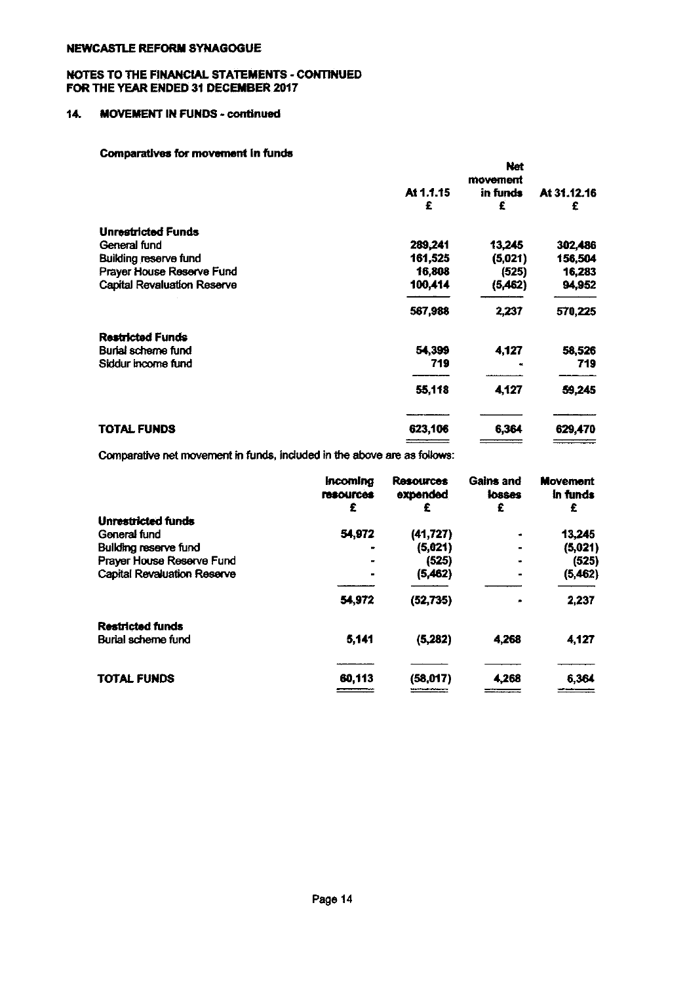#### NOTES TO THE FINANCIAL STATEMENTS - CONTINUED FOR THE YEAR ENDED 31 DECEMBER 2017

## 14. MOVEMENT IN FUNDS - continued

#### Comparatives for movement in funds

| <b>OURDERWAY OF INVESTIGAT IN INTER</b> |           |            |             |
|-----------------------------------------|-----------|------------|-------------|
|                                         |           | <b>Net</b> |             |
|                                         |           | movement   |             |
|                                         | At 1.1.15 | in funds   | At 31.12.16 |
|                                         | £         | £          | £           |
| <b>Unrestricted Funds</b>               |           |            |             |
| General fund                            | 289,241   | 13,245     | 302,486     |
| Building reserve fund                   | 161,525   | (5,021)    | 156,504     |
| Prayer House Reserve Fund               | 16,808    | (525)      | 16,283      |
| <b>Capital Revaluation Reserve</b>      | 100,414   | (5,462)    | 94,952      |
|                                         | 567,988   | 2,237      | 570,225     |
| <b>Restricted Funds</b>                 |           |            |             |
| Burial scheme fund                      | 54,399    | 4,127      | 58,526      |
| Siddur income fund                      | 719       |            | 719         |
|                                         | 55,118    | 4,127      | 59,245      |
| <b>TOTAL FUNDS</b>                      | 623,106   | 6,364      | 629,470     |
|                                         |           |            |             |

Comparative net movement in funds, included in the above are as follows:

|                              | <b>Incomina</b><br><b><i><u>Tesources</u></i></b><br>£ | <b>Resources</b><br>expended<br>£ | Gains and<br>losses<br>£ | <b>Movement</b><br>in funds<br>£ |
|------------------------------|--------------------------------------------------------|-----------------------------------|--------------------------|----------------------------------|
| <b>Unrestricted funds</b>    |                                                        |                                   |                          |                                  |
| General fund                 | 54,972                                                 | (41, 727)                         |                          | 13,245                           |
| <b>Building reserve fund</b> |                                                        | (5,021)                           |                          | (5,021)                          |
| Prayer House Reserve Fund    |                                                        | (525)                             |                          | (525)                            |
| Capital Revaluation Reserve  |                                                        | (5,462)                           |                          | (5,462)                          |
|                              | 54,972                                                 | (52, 735)                         |                          | 2,237                            |
| Restricted funds             |                                                        |                                   |                          |                                  |
| Burial scheme fund           | 5,141                                                  | (5, 282)                          | 4,268                    | 4,127                            |
|                              |                                                        |                                   |                          |                                  |
| TOTAL FUNDS                  | 60,113                                                 | (58,017)                          | 4,268                    | 6,364                            |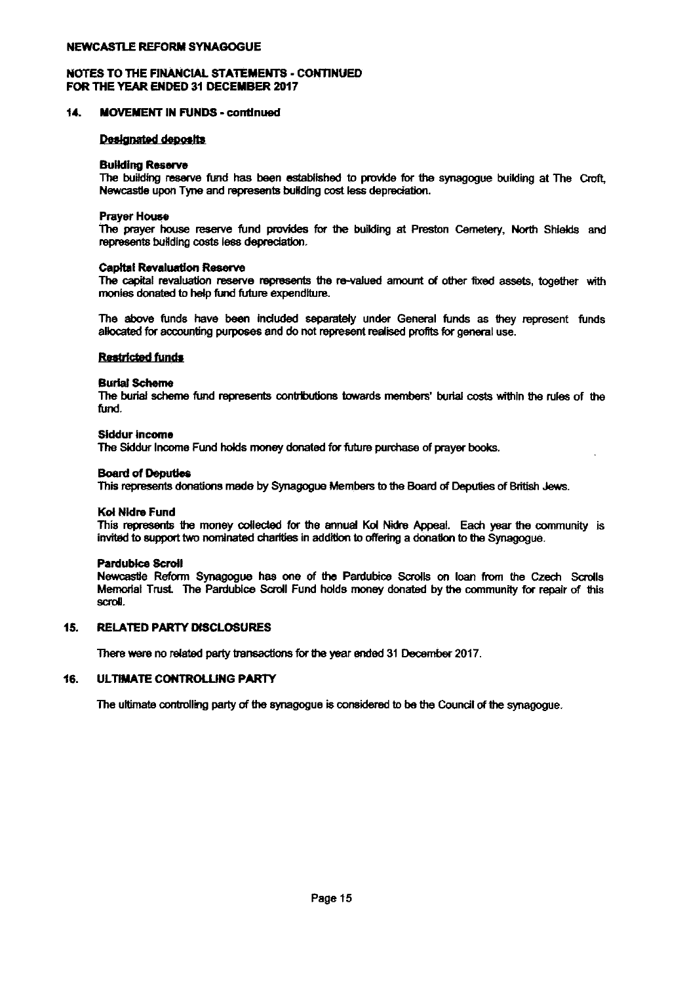#### NOTES TO THE FINANCIAL STATEMENTS - CONTINUED FOR THE YEAR ENDED 31 DECEMBER 2017

#### MOVEMENT IN FUNDS - continued 14.

#### **Designated deposits**

#### **Building Reserve**

Newcastle upon Tyne and represents building cost less depreciation.

The building reserve fund has been established to provide for the synagogue building at The Croft<br>Newcastle upon Tyne and represents building cost less depreciation.<br>The prayer house reserve fund provides for the building Prayer House<br>The prayer house reserve fund provides for the building at Preston Cemetery, North Shields and represents building costs less depreciation.

#### Capital Revaluation Reserve

The capital revaluation reserve | provides<br>preciation.<br>represents<br>re expenditu the he buildin<br>re-valued<br> Capital Revaluation Reserve<br>The capital revaluation reserve represents the re-valued amount of other fixed assets, together with<br>monies donated to help fund future expenditure.<br>The above funds have been included separately monies donated to help fund future expenditure.

The above funds have been included separately under General funds as they represent funds allocated for accounting purposes and do not represent realised profits for general use.

#### **Burial Scheme**

The burial scheme fund ~ contributions towards members' burial costs within the rules of the fund.

#### Siddur income

The Sddur Income Fund holds money donated for future purchase of prayer books. come<br>ir Income I<br>Deputies<br>sents don

#### Board of

This represents donations made by Synagogue Members to the Board of Deputies of British Jews.

#### Kol Nldre Fund

This represents the money collected for the annual Kol Nidre Appeal. Each year the community is d of Deput<br>represents<br>ildre Fund<br>represents<br>d to suppor invited to support two nominated charities in addition to offering a donation to the Synagogue.

Kol Nidre Fund<br>This represents<br>invited to support<br>Pardublice Scrol<br>Nemorial Trust.<br>Memorial Trust. Newcastie Reform Synagogue has one of the Pardubice Scrolls on loan from the Czech Scrolls Memorial Trust. The Pardubice Scroll Fund holds money donated by the community for repair of this scroll.

#### 15. RELATED PARTY DISCLOSURES

There were no related party transactions for the year ended 31 December 2017.

#### 16. ULTIMATE CONTROLLING PARTY

ULTIMATE CONTROLLING PARTY<br>The ultimate controlling party of the synagogue is considered to be the Council of the synagogue. ear ended 3<br>considered<br><sup>.</sup>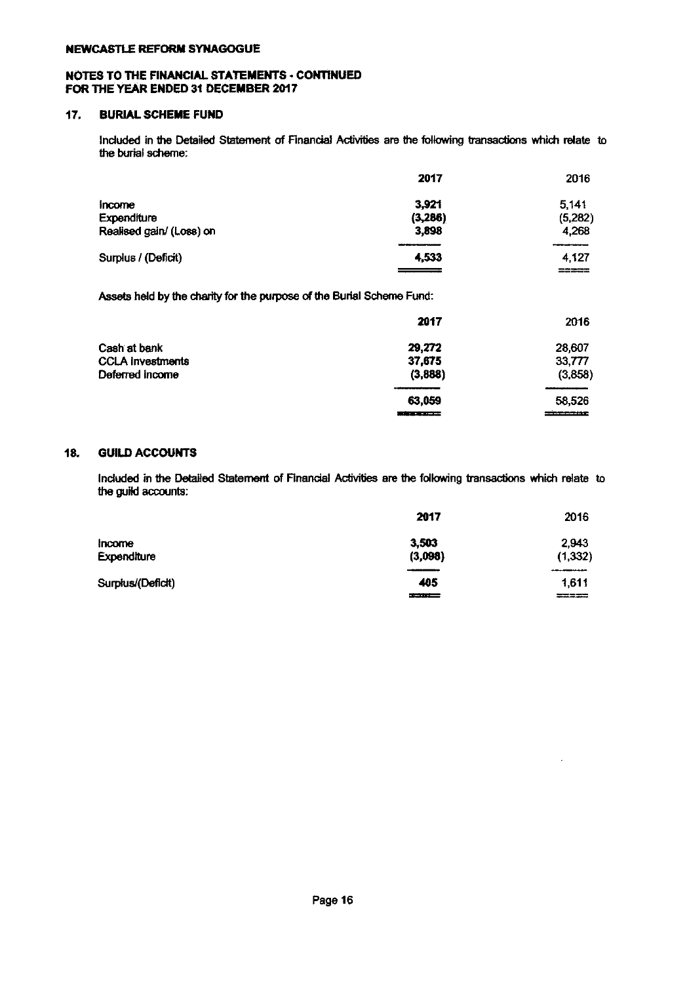#### NOTES TO THE FINANCIAL STATEMENTS - CONTINUED FOR THE YEAR ENDED 31 DECEMBER 2017

## 17. BURIAL SCHEME FUND

Included in the Detailed Statement of Financial Activities are the following transactions which relate to the burial scheme:

|                          | 2017     | 2016    |
|--------------------------|----------|---------|
| income                   | 3.921    | 5.141   |
| Expenditure              | (3, 286) | (5,282) |
| Realised gain/ (Loss) on | 3,898    | 4.268   |
|                          |          |         |
| Surplus / (Deficit)      | 4.533    | 4.127   |
|                          |          | =====   |

Assets held by the charity for the purpose of the Burial Scheme Fund:

|                         | 2017              | 2016     |
|-------------------------|-------------------|----------|
| Cash at bank            | 29,272            | 28,607   |
| <b>CCLA Investments</b> | 37.675            | 33,777   |
| Deferred income         | (3,888)           | (3,858)  |
|                         |                   |          |
|                         | 63.059            | 58.526   |
|                         | فتستسمع فاحسدناها | ________ |

## 18. GUILD ACCOUNTS

Included in the Detailed Statement of Financial Activities are the following transactions which relate to the guild accounts:

|                       | 2017             | 2016              |
|-----------------------|------------------|-------------------|
| Income<br>Expenditure | 3,503<br>(3,098) | 2,943<br>(1, 332) |
|                       | ____             |                   |
| Surplus/(Deficit)     | 405<br>كسفيد     | 1.611<br>----     |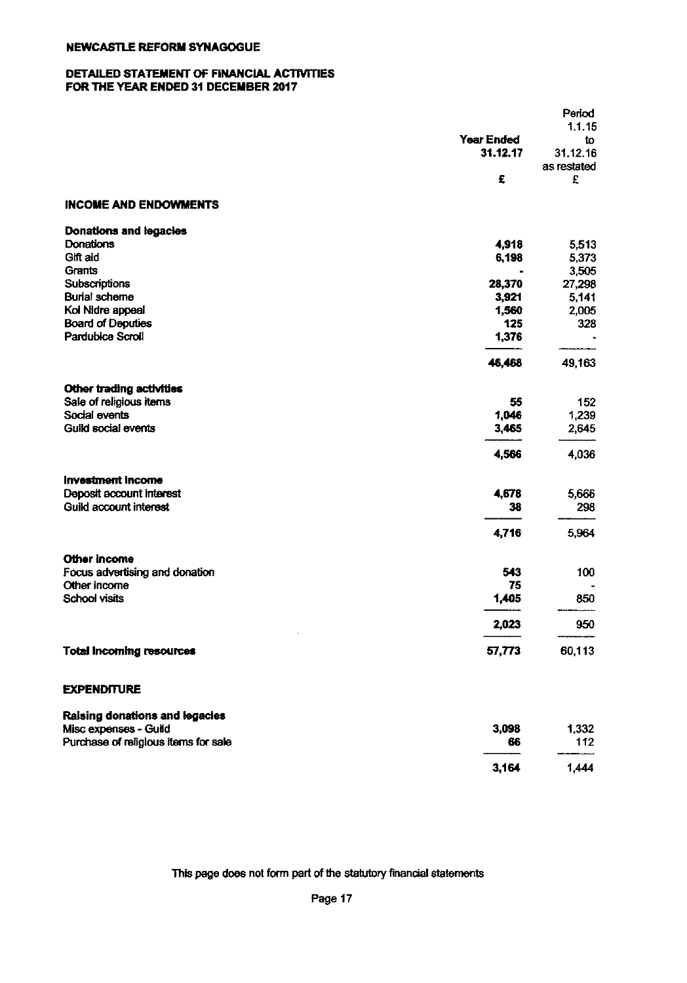#### DETAILED STATEMENT OF FINANCIAL ACTIVITIES FOR THE YEAR ENDED 31 DECEMBER 2017

| <b>Year Ended</b><br>to<br>31.12.17<br>31.12.16<br>as restated<br>£<br>£<br><b>INCOME AND ENDOWMENTS</b><br><b>Donations and legacies</b><br>Donations<br>4,918<br>5,513<br>Gift aid<br>6,198<br>5,373<br>Grants<br>3,505<br>Subscriptions<br>28,370<br>27,298<br><b>Burial scheme</b><br>3,921<br>5,141<br>Kol Nidre appeal<br>1,560<br>2,005<br><b>Board of Deputies</b><br>125<br>328<br><b>Pardubice Scroll</b><br>1,376<br>49,163<br>46,468<br>Other trading activities<br>Sale of religious items<br>55<br>152<br>Social events<br>1,046<br>1,239<br>Guild social events<br>3,465<br>2,645<br>4,566<br>4,036<br><b>Investment Income</b><br>Deposit account interest<br>4,678<br>5,666<br>Guild account interest<br>38<br>296<br>4,716<br>5,964<br>Other income<br>Focus advertising and donation<br>543<br>100<br>Other income<br>75<br><b>School visits</b><br>1,405<br>850<br>950<br>2,023<br><b>Total Incoming resources</b><br>57,773<br>60,113<br><b>EXPENDITURE</b><br>Raising donations and legacies<br>Misc expenses - Guild<br>3,098<br>1,332<br>Purchase of religious items for sale<br>112<br>66 |  | Period |
|--------------------------------------------------------------------------------------------------------------------------------------------------------------------------------------------------------------------------------------------------------------------------------------------------------------------------------------------------------------------------------------------------------------------------------------------------------------------------------------------------------------------------------------------------------------------------------------------------------------------------------------------------------------------------------------------------------------------------------------------------------------------------------------------------------------------------------------------------------------------------------------------------------------------------------------------------------------------------------------------------------------------------------------------------------------------------------------------------------------------|--|--------|
|                                                                                                                                                                                                                                                                                                                                                                                                                                                                                                                                                                                                                                                                                                                                                                                                                                                                                                                                                                                                                                                                                                                    |  | 1.1.15 |
|                                                                                                                                                                                                                                                                                                                                                                                                                                                                                                                                                                                                                                                                                                                                                                                                                                                                                                                                                                                                                                                                                                                    |  |        |
|                                                                                                                                                                                                                                                                                                                                                                                                                                                                                                                                                                                                                                                                                                                                                                                                                                                                                                                                                                                                                                                                                                                    |  |        |
|                                                                                                                                                                                                                                                                                                                                                                                                                                                                                                                                                                                                                                                                                                                                                                                                                                                                                                                                                                                                                                                                                                                    |  |        |
|                                                                                                                                                                                                                                                                                                                                                                                                                                                                                                                                                                                                                                                                                                                                                                                                                                                                                                                                                                                                                                                                                                                    |  |        |
|                                                                                                                                                                                                                                                                                                                                                                                                                                                                                                                                                                                                                                                                                                                                                                                                                                                                                                                                                                                                                                                                                                                    |  |        |
|                                                                                                                                                                                                                                                                                                                                                                                                                                                                                                                                                                                                                                                                                                                                                                                                                                                                                                                                                                                                                                                                                                                    |  |        |
|                                                                                                                                                                                                                                                                                                                                                                                                                                                                                                                                                                                                                                                                                                                                                                                                                                                                                                                                                                                                                                                                                                                    |  |        |
|                                                                                                                                                                                                                                                                                                                                                                                                                                                                                                                                                                                                                                                                                                                                                                                                                                                                                                                                                                                                                                                                                                                    |  |        |
|                                                                                                                                                                                                                                                                                                                                                                                                                                                                                                                                                                                                                                                                                                                                                                                                                                                                                                                                                                                                                                                                                                                    |  |        |
|                                                                                                                                                                                                                                                                                                                                                                                                                                                                                                                                                                                                                                                                                                                                                                                                                                                                                                                                                                                                                                                                                                                    |  |        |
|                                                                                                                                                                                                                                                                                                                                                                                                                                                                                                                                                                                                                                                                                                                                                                                                                                                                                                                                                                                                                                                                                                                    |  |        |
|                                                                                                                                                                                                                                                                                                                                                                                                                                                                                                                                                                                                                                                                                                                                                                                                                                                                                                                                                                                                                                                                                                                    |  |        |
|                                                                                                                                                                                                                                                                                                                                                                                                                                                                                                                                                                                                                                                                                                                                                                                                                                                                                                                                                                                                                                                                                                                    |  |        |
|                                                                                                                                                                                                                                                                                                                                                                                                                                                                                                                                                                                                                                                                                                                                                                                                                                                                                                                                                                                                                                                                                                                    |  |        |
|                                                                                                                                                                                                                                                                                                                                                                                                                                                                                                                                                                                                                                                                                                                                                                                                                                                                                                                                                                                                                                                                                                                    |  |        |
|                                                                                                                                                                                                                                                                                                                                                                                                                                                                                                                                                                                                                                                                                                                                                                                                                                                                                                                                                                                                                                                                                                                    |  |        |
|                                                                                                                                                                                                                                                                                                                                                                                                                                                                                                                                                                                                                                                                                                                                                                                                                                                                                                                                                                                                                                                                                                                    |  |        |
|                                                                                                                                                                                                                                                                                                                                                                                                                                                                                                                                                                                                                                                                                                                                                                                                                                                                                                                                                                                                                                                                                                                    |  |        |
|                                                                                                                                                                                                                                                                                                                                                                                                                                                                                                                                                                                                                                                                                                                                                                                                                                                                                                                                                                                                                                                                                                                    |  |        |
|                                                                                                                                                                                                                                                                                                                                                                                                                                                                                                                                                                                                                                                                                                                                                                                                                                                                                                                                                                                                                                                                                                                    |  |        |
|                                                                                                                                                                                                                                                                                                                                                                                                                                                                                                                                                                                                                                                                                                                                                                                                                                                                                                                                                                                                                                                                                                                    |  |        |
|                                                                                                                                                                                                                                                                                                                                                                                                                                                                                                                                                                                                                                                                                                                                                                                                                                                                                                                                                                                                                                                                                                                    |  |        |
|                                                                                                                                                                                                                                                                                                                                                                                                                                                                                                                                                                                                                                                                                                                                                                                                                                                                                                                                                                                                                                                                                                                    |  |        |
|                                                                                                                                                                                                                                                                                                                                                                                                                                                                                                                                                                                                                                                                                                                                                                                                                                                                                                                                                                                                                                                                                                                    |  |        |
|                                                                                                                                                                                                                                                                                                                                                                                                                                                                                                                                                                                                                                                                                                                                                                                                                                                                                                                                                                                                                                                                                                                    |  |        |
|                                                                                                                                                                                                                                                                                                                                                                                                                                                                                                                                                                                                                                                                                                                                                                                                                                                                                                                                                                                                                                                                                                                    |  |        |
|                                                                                                                                                                                                                                                                                                                                                                                                                                                                                                                                                                                                                                                                                                                                                                                                                                                                                                                                                                                                                                                                                                                    |  |        |
|                                                                                                                                                                                                                                                                                                                                                                                                                                                                                                                                                                                                                                                                                                                                                                                                                                                                                                                                                                                                                                                                                                                    |  |        |
|                                                                                                                                                                                                                                                                                                                                                                                                                                                                                                                                                                                                                                                                                                                                                                                                                                                                                                                                                                                                                                                                                                                    |  |        |
|                                                                                                                                                                                                                                                                                                                                                                                                                                                                                                                                                                                                                                                                                                                                                                                                                                                                                                                                                                                                                                                                                                                    |  |        |
|                                                                                                                                                                                                                                                                                                                                                                                                                                                                                                                                                                                                                                                                                                                                                                                                                                                                                                                                                                                                                                                                                                                    |  |        |
|                                                                                                                                                                                                                                                                                                                                                                                                                                                                                                                                                                                                                                                                                                                                                                                                                                                                                                                                                                                                                                                                                                                    |  |        |
|                                                                                                                                                                                                                                                                                                                                                                                                                                                                                                                                                                                                                                                                                                                                                                                                                                                                                                                                                                                                                                                                                                                    |  |        |

This page does not form part of the statutory financial statements

1,444

 $3,164$